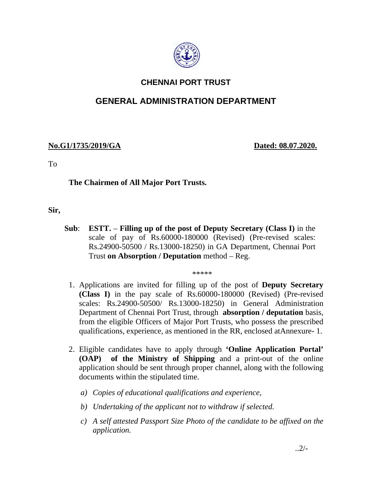

## **CHENNAI PORT TRUST**

# **GENERAL ADMINISTRATION DEPARTMENT**

### **No.G1/1735/2019/GA Dated: 08.07.2020.**

To

### **The Chairmen of All Major Port Trusts.**

**Sir,** 

**Sub**: **ESTT.** – **Filling up of the post of Deputy Secretary (Class I)** in the scale of pay of Rs.60000-180000 (Revised) (Pre-revised scales: Rs.24900-50500 / Rs.13000-18250) in GA Department, Chennai Port Trust **on Absorption / Deputation** method – Reg.

\*\*\*\*\*

- 1. Applications are invited for filling up of the post of **Deputy Secretary (Class I)** in the pay scale of Rs.60000-180000 (Revised) (Pre-revised scales: Rs.24900-50500/ Rs.13000-18250) in General Administration Department of Chennai Port Trust, through **absorption / deputation** basis, from the eligible Officers of Major Port Trusts, who possess the prescribed qualifications, experience, as mentioned in the RR, enclosed atAnnexure- 1.
- 2. Eligible candidates have to apply through **'Online Application Portal' (OAP) of the Ministry of Shipping** and a print-out of the online application should be sent through proper channel, along with the following documents within the stipulated time.
	- *a) Copies of educational qualifications and experience,*
	- *b) Undertaking of the applicant not to withdraw if selected.*
	- *c) A self attested Passport Size Photo of the candidate to be affixed on the application.*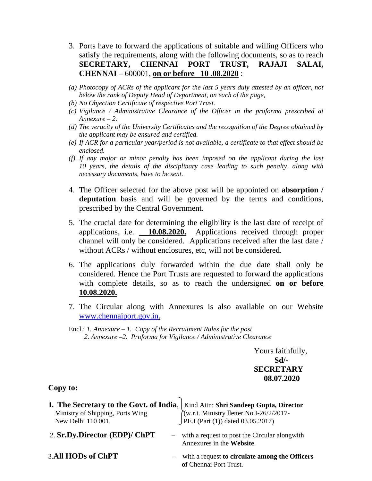- 3. Ports have to forward the applications of suitable and willing Officers who satisfy the requirements, along with the following documents, so as to reach **SECRETARY, CHENNAI PORT TRUST, RAJAJI SALAI, CHENNAI** – 600001, **on or before 10 .08.2020** :
- *(a) Photocopy of ACRs of the applicant for the last 5 years duly attested by an officer, not below the rank of Deputy Head of Department, on each of the page,*
- *(b) No Objection Certificate of respective Port Trust.*
- *(c) Vigilance / Administrative Clearance of the Officer in the proforma prescribed at Annexure – 2.*
- *(d) The veracity of the University Certificates and the recognition of the Degree obtained by the applicant may be ensured and certified.*
- *(e) If ACR for a particular year/period is not available, a certificate to that effect should be enclosed.*
- *(f) If any major or minor penalty has been imposed on the applicant during the last 10 years, the details of the disciplinary case leading to such penalty, along with necessary documents, have to be sent.*
- 4. The Officer selected for the above post will be appointed on **absorption / deputation** basis and will be governed by the terms and conditions, prescribed by the Central Government.
- 5. The crucial date for determining the eligibility is the last date of receipt of applications, i.e. **10.08.2020.** Applications received through proper channel will only be considered. Applications received after the last date / without ACRs / without enclosures, etc, will not be considered.
- 6. The applications duly forwarded within the due date shall only be considered. Hence the Port Trusts are requested to forward the applications with complete details, so as to reach the undersigned **on or before 10.08.2020.**
- 7. The Circular along with Annexures is also available on our Website www.chennaiport.gov.in.

Yours faithfully, **Sd/- SECRETARY 08.07.2020** 

#### **Copy to:**

| <b>1. The Secretary to the Govt. of India</b> , Kind Attn: <b>Shri Sandeep Gupta, Director</b> Ministry of Shipping, Ports Wing $\begin{array}{c}\n\text{(w.r.t. Ministry letter No.I-26/2/2017-New Delhi 110 001.}\n\end{array}$ |                                                                              |
|-----------------------------------------------------------------------------------------------------------------------------------------------------------------------------------------------------------------------------------|------------------------------------------------------------------------------|
|                                                                                                                                                                                                                                   |                                                                              |
|                                                                                                                                                                                                                                   |                                                                              |
| 2. Sr.Dy.Director (EDP)/ ChPT                                                                                                                                                                                                     | - with a request to post the Circular alongwith<br>Annexures in the Website. |
| 3.All HODs of ChPT                                                                                                                                                                                                                | - with a request to circulate among the Officers<br>of Chennai Port Trust.   |

Encl.: *1. Annexure – 1. Copy of the Recruitment Rules for the post 2. Annexure –2. Proforma for Vigilance / Administrative Clearance*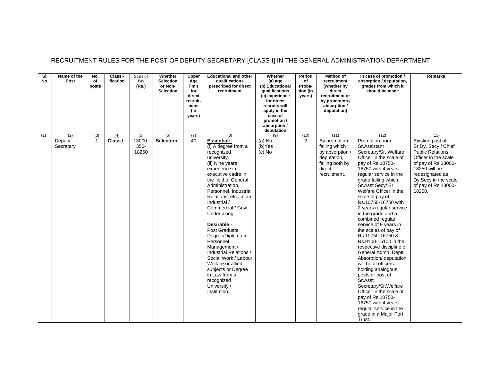| SI.<br>No. | Name of the<br>Post | No.<br>of<br>posts | Classi-<br>fication | Scale of<br>Pay<br>(Rs.) | Whether<br><b>Selection</b><br>or Non-<br><b>Selection</b> | Upper<br>Age<br>limit<br>for<br>direct<br>recruit-<br>ment<br>(in<br>years) | <b>Educational and other</b><br>qualifications<br>prescribed for direct<br>recruitment                                                                                                                                                                                                                                                                                                                                                                                                                                             | Whether<br>(a) age<br>(b) Educational<br>qualifications<br>(c) experience<br>for direct<br>recruits will<br>apply in the<br>case of<br>promotion /<br>absorption /<br>deputation | Period<br>of<br>Proba-<br>tion (in<br>years) | Method of<br>recruitment<br>(whether by<br>direct<br>recruitment or<br>by promotion /<br>absorption /<br>deputation) | In case of promotion /<br>absorption / deputation,<br>grades from which it<br>should be made                                                                                                                                                                                                                                                                                                                                                                                                                                                                                                                                                                                                                                                                 | <b>Remarks</b>                                                                                                                                                                                                 |
|------------|---------------------|--------------------|---------------------|--------------------------|------------------------------------------------------------|-----------------------------------------------------------------------------|------------------------------------------------------------------------------------------------------------------------------------------------------------------------------------------------------------------------------------------------------------------------------------------------------------------------------------------------------------------------------------------------------------------------------------------------------------------------------------------------------------------------------------|----------------------------------------------------------------------------------------------------------------------------------------------------------------------------------|----------------------------------------------|----------------------------------------------------------------------------------------------------------------------|--------------------------------------------------------------------------------------------------------------------------------------------------------------------------------------------------------------------------------------------------------------------------------------------------------------------------------------------------------------------------------------------------------------------------------------------------------------------------------------------------------------------------------------------------------------------------------------------------------------------------------------------------------------------------------------------------------------------------------------------------------------|----------------------------------------------------------------------------------------------------------------------------------------------------------------------------------------------------------------|
| (1)        | (2)                 | (3)                | (4)                 | (5)                      | (6)                                                        | (7)                                                                         | (8)                                                                                                                                                                                                                                                                                                                                                                                                                                                                                                                                | (9)                                                                                                                                                                              | (10)                                         | (11)                                                                                                                 | (12)                                                                                                                                                                                                                                                                                                                                                                                                                                                                                                                                                                                                                                                                                                                                                         | (13)                                                                                                                                                                                                           |
|            | Deputy<br>Secretary | $\overline{1}$     | Class I             | 13000-<br>350-<br>18250  | <b>Selection</b>                                           | 40                                                                          | <b>Essential:-</b><br>(i) A degree from a<br>recognized<br>university.<br>(ii) Nine years<br>experience in<br>executive cadre in<br>the field of General<br>Administration,<br>Personnel, Industrial<br>Relations, etc., in an<br>Industrial /<br>Commercial / Govt.<br>Undertaking.<br>Desirable:-<br>Post Graduate<br>Degree/Diploma in<br>Personnel<br>Management /<br>Industrial Relations /<br>Social Work / Labour<br>Welfare or allied<br>subjects or Degree<br>in Law from a<br>recognized<br>University /<br>Institution. | $(a)$ No<br>$(b)$ Yes<br>$(c)$ No                                                                                                                                                | $\overline{2}$                               | By promotion<br>failing which<br>by absorption /<br>deputation,<br>failing both by<br>direct<br>recruitment.         | Promotion from<br>Sr.Assistant<br>Secretary/Sr. Welfare<br>Officer in the scale of<br>pay of Rs.10750-<br>16750 with 4 years<br>regular service in the<br>grade failing which<br>Sr.Asst Secv/ Sr.<br>Welfare Officer in the<br>scale of pay of<br>Rs.10750-16750 with<br>2 years regular service<br>in the grade and a<br>combined regular<br>service of 9 years in<br>the scales of pay of<br>Rs.10750-16750 &<br>Rs.9100-15100 in the<br>respective discipline of<br>General Admn. Deptt.<br>Absorption/ deputation<br>will be of officers<br>holding analogous<br>posts or post of<br>Sr.Asst.<br>Secretary/Sr.Welfare<br>Officer in the scale of<br>pay of Rs.10750-<br>16750 with 4 years<br>regular service in the<br>grade in a Major Port<br>Trust. | Existing post of<br>Sr.Dy. Secy / Chief<br><b>Public Relations</b><br>Officer in the scale<br>of pay of Rs.13000-<br>18250 will be<br>redesignated as<br>Dy.Secy in the scale<br>of pay of Rs.13000-<br>18250. |

### RECRUITMENT RULES FOR THE POST OF DEPUTY SECRETARY [CLASS-I] IN THE GENERAL ADMINISTRATION DEPARTMENT